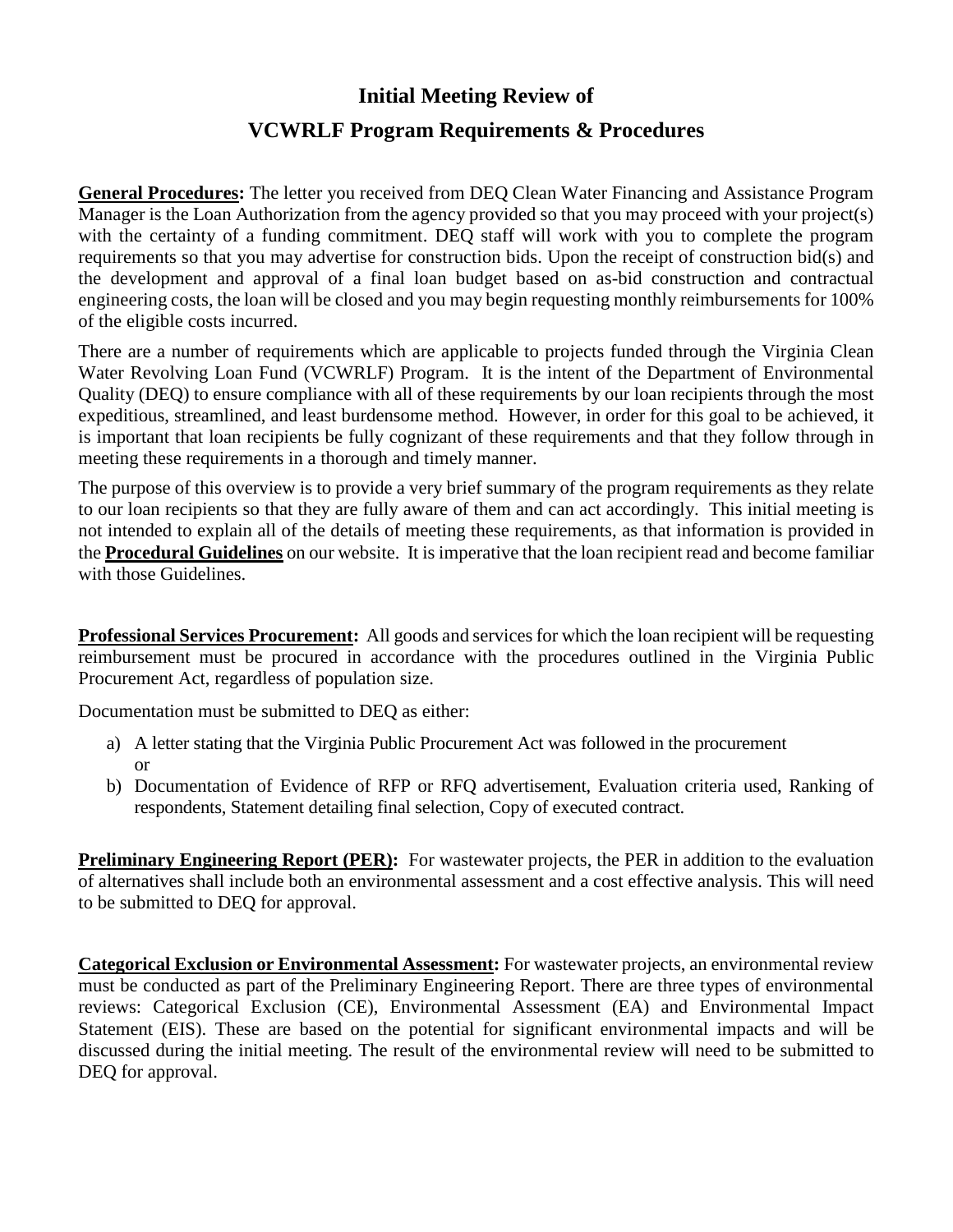## **Initial Meeting Review of VCWRLF Program Requirements & Procedures**

**General Procedures:** The letter you received from DEQ Clean Water Financing and Assistance Program Manager is the Loan Authorization from the agency provided so that you may proceed with your project(s) with the certainty of a funding commitment. DEQ staff will work with you to complete the program requirements so that you may advertise for construction bids. Upon the receipt of construction bid(s) and the development and approval of a final loan budget based on as-bid construction and contractual engineering costs, the loan will be closed and you may begin requesting monthly reimbursements for 100% of the eligible costs incurred.

There are a number of requirements which are applicable to projects funded through the Virginia Clean Water Revolving Loan Fund (VCWRLF) Program. It is the intent of the Department of Environmental Quality (DEQ) to ensure compliance with all of these requirements by our loan recipients through the most expeditious, streamlined, and least burdensome method. However, in order for this goal to be achieved, it is important that loan recipients be fully cognizant of these requirements and that they follow through in meeting these requirements in a thorough and timely manner.

The purpose of this overview is to provide a very brief summary of the program requirements as they relate to our loan recipients so that they are fully aware of them and can act accordingly. This initial meeting is not intended to explain all of the details of meeting these requirements, as that information is provided in the **Procedural Guidelines** on our website. It is imperative that the loan recipient read and become familiar with those Guidelines.

**Professional Services Procurement:** All goods and services for which the loan recipient will be requesting reimbursement must be procured in accordance with the procedures outlined in the Virginia Public Procurement Act, regardless of population size.

Documentation must be submitted to DEQ as either:

- a) A letter stating that the Virginia Public Procurement Act was followed in the procurement or
- b) Documentation of Evidence of RFP or RFQ advertisement, Evaluation criteria used, Ranking of respondents, Statement detailing final selection, Copy of executed contract.

**Preliminary Engineering Report (PER):** For wastewater projects, the PER in addition to the evaluation of alternatives shall include both an environmental assessment and a cost effective analysis. This will need to be submitted to DEQ for approval.

**Categorical Exclusion or Environmental Assessment:** For wastewater projects, an environmental review must be conducted as part of the Preliminary Engineering Report. There are three types of environmental reviews: Categorical Exclusion (CE), Environmental Assessment (EA) and Environmental Impact Statement (EIS). These are based on the potential for significant environmental impacts and will be discussed during the initial meeting. The result of the environmental review will need to be submitted to DEQ for approval.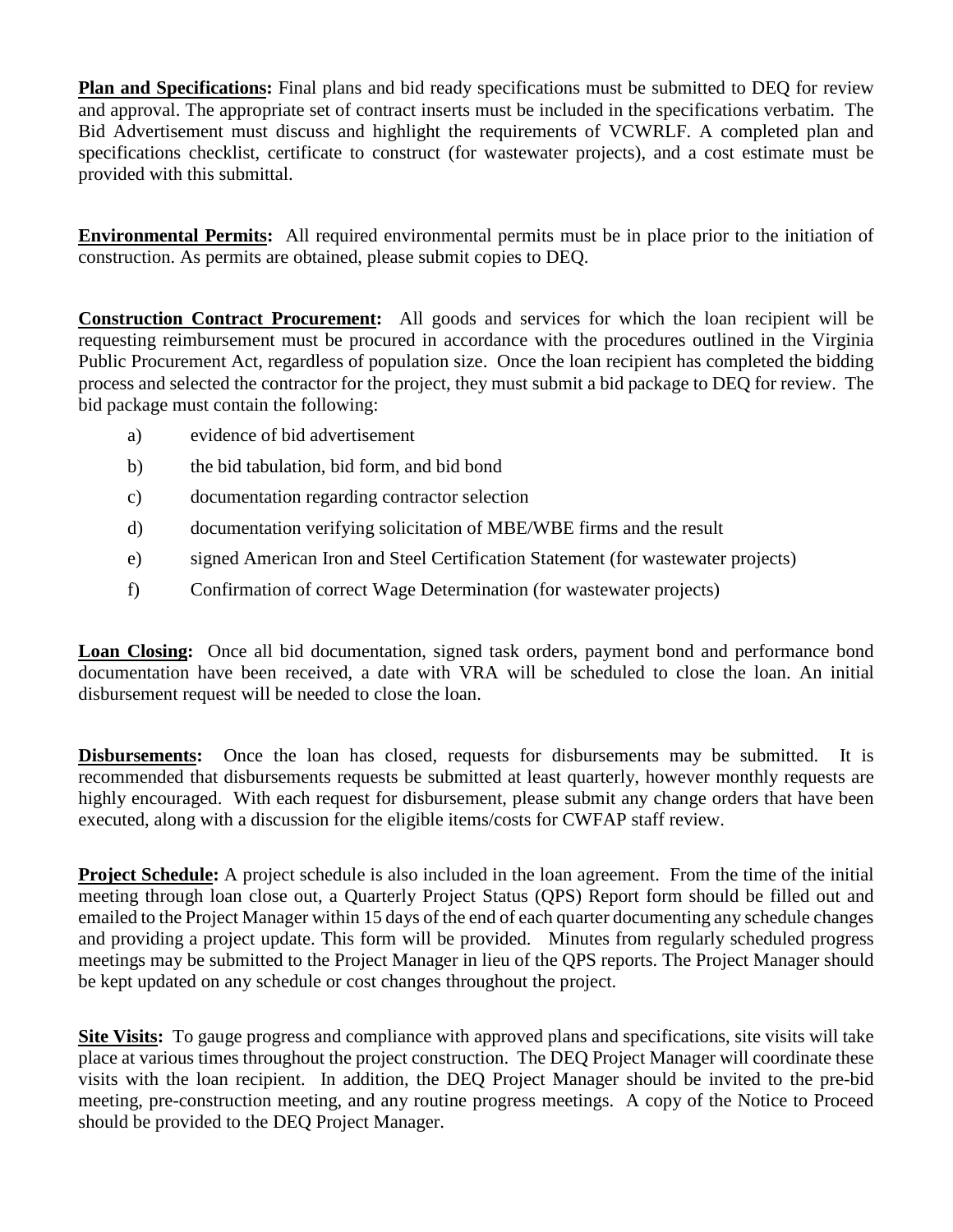**Plan and Specifications:** Final plans and bid ready specifications must be submitted to DEQ for review and approval. The appropriate set of contract inserts must be included in the specifications verbatim. The Bid Advertisement must discuss and highlight the requirements of VCWRLF. A completed plan and specifications checklist, certificate to construct (for wastewater projects), and a cost estimate must be provided with this submittal.

**Environmental Permits:** All required environmental permits must be in place prior to the initiation of construction. As permits are obtained, please submit copies to DEQ.

**Construction Contract Procurement:** All goods and services for which the loan recipient will be requesting reimbursement must be procured in accordance with the procedures outlined in the Virginia Public Procurement Act, regardless of population size. Once the loan recipient has completed the bidding process and selected the contractor for the project, they must submit a bid package to DEQ for review. The bid package must contain the following:

- a) evidence of bid advertisement
- b) the bid tabulation, bid form, and bid bond
- c) documentation regarding contractor selection
- d) documentation verifying solicitation of MBE/WBE firms and the result
- e) signed American Iron and Steel Certification Statement (for wastewater projects)
- f) Confirmation of correct Wage Determination (for wastewater projects)

**Loan Closing:** Once all bid documentation, signed task orders, payment bond and performance bond documentation have been received, a date with VRA will be scheduled to close the loan. An initial disbursement request will be needed to close the loan.

**Disbursements:** Once the loan has closed, requests for disbursements may be submitted. It is recommended that disbursements requests be submitted at least quarterly, however monthly requests are highly encouraged. With each request for disbursement, please submit any change orders that have been executed, along with a discussion for the eligible items/costs for CWFAP staff review.

**Project Schedule:** A project schedule is also included in the loan agreement. From the time of the initial meeting through loan close out, a Quarterly Project Status (QPS) Report form should be filled out and emailed to the Project Manager within 15 days of the end of each quarter documenting any schedule changes and providing a project update. This form will be provided. Minutes from regularly scheduled progress meetings may be submitted to the Project Manager in lieu of the QPS reports. The Project Manager should be kept updated on any schedule or cost changes throughout the project.

**Site Visits:** To gauge progress and compliance with approved plans and specifications, site visits will take place at various times throughout the project construction. The DEQ Project Manager will coordinate these visits with the loan recipient. In addition, the DEQ Project Manager should be invited to the pre-bid meeting, pre-construction meeting, and any routine progress meetings. A copy of the Notice to Proceed should be provided to the DEQ Project Manager.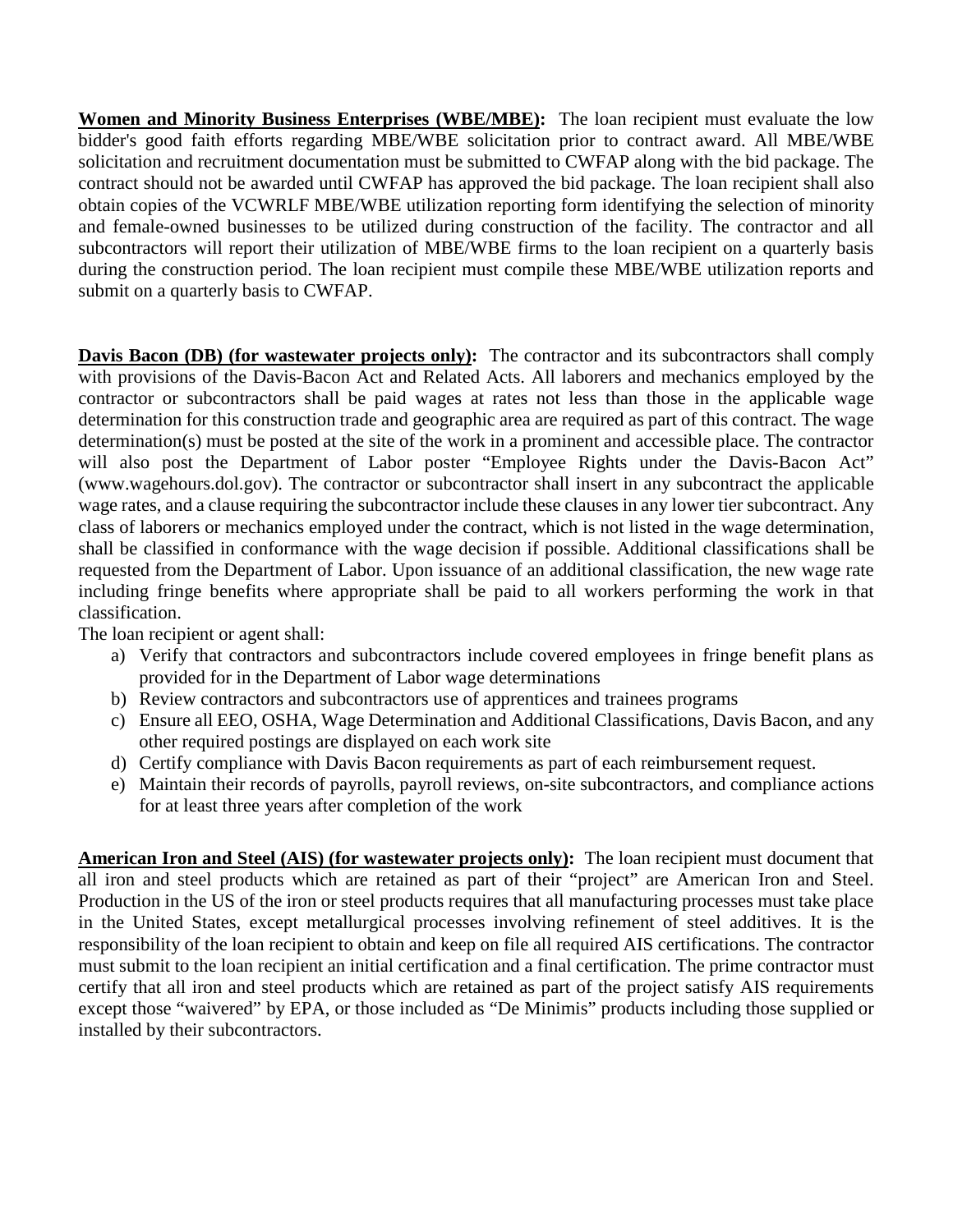**Women and Minority Business Enterprises (WBE/MBE):** The loan recipient must evaluate the low bidder's good faith efforts regarding MBE/WBE solicitation prior to contract award. All MBE/WBE solicitation and recruitment documentation must be submitted to CWFAP along with the bid package. The contract should not be awarded until CWFAP has approved the bid package. The loan recipient shall also obtain copies of the VCWRLF MBE/WBE utilization reporting form identifying the selection of minority and female-owned businesses to be utilized during construction of the facility. The contractor and all subcontractors will report their utilization of MBE/WBE firms to the loan recipient on a quarterly basis during the construction period. The loan recipient must compile these MBE/WBE utilization reports and submit on a quarterly basis to CWFAP.

**Davis Bacon (DB) (for wastewater projects only):** The contractor and its subcontractors shall comply with provisions of the Davis-Bacon Act and Related Acts. All laborers and mechanics employed by the contractor or subcontractors shall be paid wages at rates not less than those in the applicable wage determination for this construction trade and geographic area are required as part of this contract. The wage determination(s) must be posted at the site of the work in a prominent and accessible place. The contractor will also post the Department of Labor poster "Employee Rights under the Davis-Bacon Act" (www.wagehours.dol.gov). The contractor or subcontractor shall insert in any subcontract the applicable wage rates, and a clause requiring the subcontractor include these clauses in any lower tier subcontract. Any class of laborers or mechanics employed under the contract, which is not listed in the wage determination, shall be classified in conformance with the wage decision if possible. Additional classifications shall be requested from the Department of Labor. Upon issuance of an additional classification, the new wage rate including fringe benefits where appropriate shall be paid to all workers performing the work in that classification.

The loan recipient or agent shall:

- a) Verify that contractors and subcontractors include covered employees in fringe benefit plans as provided for in the Department of Labor wage determinations
- b) Review contractors and subcontractors use of apprentices and trainees programs
- c) Ensure all EEO, OSHA, Wage Determination and Additional Classifications, Davis Bacon, and any other required postings are displayed on each work site
- d) Certify compliance with Davis Bacon requirements as part of each reimbursement request.
- e) Maintain their records of payrolls, payroll reviews, on-site subcontractors, and compliance actions for at least three years after completion of the work

**American Iron and Steel (AIS) (for wastewater projects only):** The loan recipient must document that all iron and steel products which are retained as part of their "project" are American Iron and Steel. Production in the US of the iron or steel products requires that all manufacturing processes must take place in the United States, except metallurgical processes involving refinement of steel additives. It is the responsibility of the loan recipient to obtain and keep on file all required AIS certifications. The contractor must submit to the loan recipient an initial certification and a final certification. The prime contractor must certify that all iron and steel products which are retained as part of the project satisfy AIS requirements except those "waivered" by EPA, or those included as "De Minimis" products including those supplied or installed by their subcontractors.